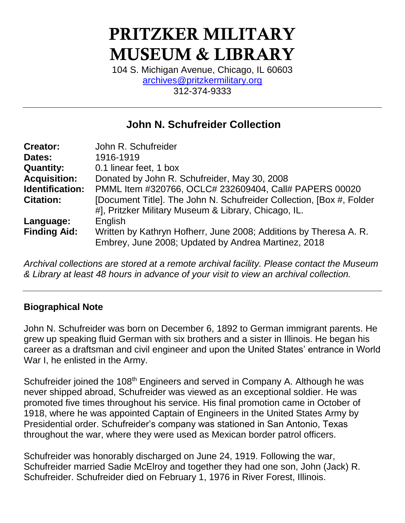# PRITZKER MILITARY MUSEUM & LIBRARY

104 S. Michigan Avenue, Chicago, IL 60603 [archives@pritzkermilitary.org](mailto:archives@pritzkermilitary.org) 312-374-9333

## **John N. Schufreider Collection**

| <b>Creator:</b>     | John R. Schufreider                                                   |
|---------------------|-----------------------------------------------------------------------|
| Dates:              | 1916-1919                                                             |
| <b>Quantity:</b>    | 0.1 linear feet, 1 box                                                |
| <b>Acquisition:</b> | Donated by John R. Schufreider, May 30, 2008                          |
| Identification:     | PMML Item #320766, OCLC# 232609404, Call# PAPERS 00020                |
| <b>Citation:</b>    | [Document Title]. The John N. Schufreider Collection, [Box #, Folder] |
|                     | #], Pritzker Military Museum & Library, Chicago, IL.                  |
| Language:           | English                                                               |
| <b>Finding Aid:</b> | Written by Kathryn Hofherr, June 2008; Additions by Theresa A. R.     |
|                     | Embrey, June 2008; Updated by Andrea Martinez, 2018                   |

*Archival collections are stored at a remote archival facility. Please contact the Museum & Library at least 48 hours in advance of your visit to view an archival collection.*

## **Biographical Note**

John N. Schufreider was born on December 6, 1892 to German immigrant parents. He grew up speaking fluid German with six brothers and a sister in Illinois. He began his career as a draftsman and civil engineer and upon the United States' entrance in World War I, he enlisted in the Army.

Schufreider joined the 108<sup>th</sup> Engineers and served in Company A. Although he was never shipped abroad, Schufreider was viewed as an exceptional soldier. He was promoted five times throughout his service. His final promotion came in October of 1918, where he was appointed Captain of Engineers in the United States Army by Presidential order. Schufreider's company was stationed in San Antonio, Texas throughout the war, where they were used as Mexican border patrol officers.

Schufreider was honorably discharged on June 24, 1919. Following the war, Schufreider married Sadie McElroy and together they had one son, John (Jack) R. Schufreider. Schufreider died on February 1, 1976 in River Forest, Illinois.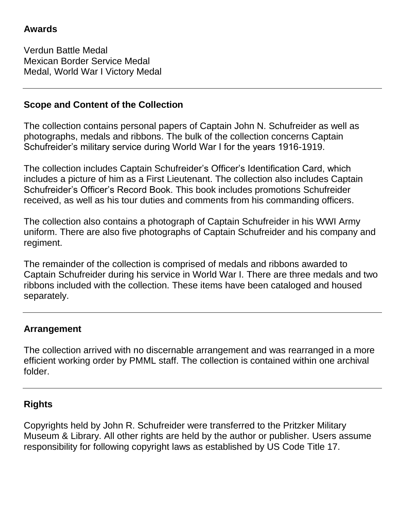## **Awards**

Verdun Battle Medal Mexican Border Service Medal Medal, World War I Victory Medal

#### **Scope and Content of the Collection**

The collection contains personal papers of Captain John N. Schufreider as well as photographs, medals and ribbons. The bulk of the collection concerns Captain Schufreider's military service during World War I for the years 1916-1919.

The collection includes Captain Schufreider's Officer's Identification Card, which includes a picture of him as a First Lieutenant. The collection also includes Captain Schufreider's Officer's Record Book. This book includes promotions Schufreider received, as well as his tour duties and comments from his commanding officers.

The collection also contains a photograph of Captain Schufreider in his WWI Army uniform. There are also five photographs of Captain Schufreider and his company and regiment.

The remainder of the collection is comprised of medals and ribbons awarded to Captain Schufreider during his service in World War I. There are three medals and two ribbons included with the collection. These items have been cataloged and housed separately.

#### **Arrangement**

The collection arrived with no discernable arrangement and was rearranged in a more efficient working order by PMML staff. The collection is contained within one archival folder.

## **Rights**

Copyrights held by John R. Schufreider were transferred to the Pritzker Military Museum & Library. All other rights are held by the author or publisher. Users assume responsibility for following copyright laws as established by US Code Title 17.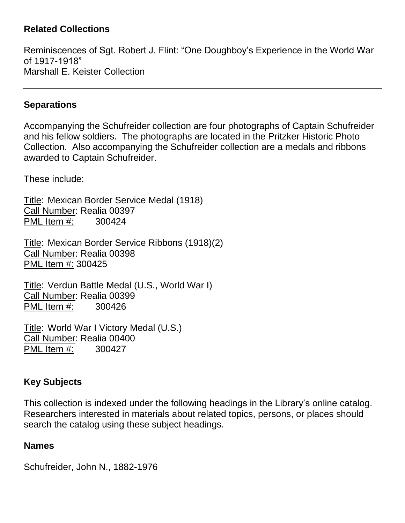#### **Related Collections**

Reminiscences of Sgt. Robert J. Flint: "One Doughboy's Experience in the World War of 1917-1918" Marshall E. Keister Collection

#### **Separations**

Accompanying the Schufreider collection are four photographs of Captain Schufreider and his fellow soldiers. The photographs are located in the Pritzker Historic Photo Collection. Also accompanying the Schufreider collection are a medals and ribbons awarded to Captain Schufreider.

These include:

Title: Mexican Border Service Medal (1918) Call Number: Realia 00397 PML Item #: 300424

Title: Mexican Border Service Ribbons (1918)(2) Call Number: Realia 00398 PML Item #: 300425

Title: Verdun Battle Medal (U.S., World War I) Call Number: Realia 00399 PML Item #: 300426

Title: World War I Victory Medal (U.S.) Call Number: Realia 00400 PML Item #: 300427

## **Key Subjects**

This collection is indexed under the following headings in the Library's online catalog. Researchers interested in materials about related topics, persons, or places should search the catalog using these subject headings.

#### **Names**

Schufreider, John N., 1882-1976